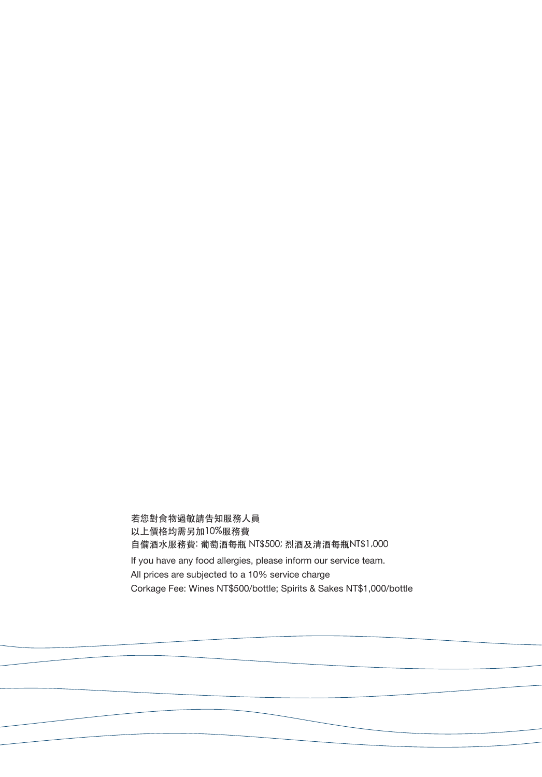若您對食物過敏請告知服務人員 以上價格均需另加10%服務費 自備酒水服務費: 葡萄酒每瓶 NT\$500; 烈酒及清酒每瓶NT\$1,000 If you have any food allergies, please inform our service team. All prices are subjected to a 10% service charge Corkage Fee: Wines NT\$500/bottle; Spirits & Sakes NT\$1,000/bottle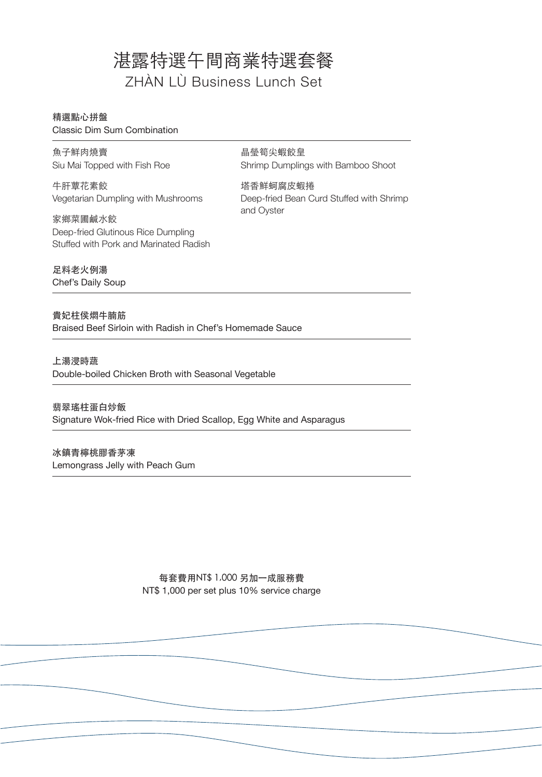### 湛露特選午間商業特選套餐 ZHÀN LÙ Business Lunch Set

#### 精選點心拼盤

Classic Dim Sum Combination

魚子鮮肉燒賣 Siu Mai Topped with Fish Roe

牛肝蕈花素餃 Vegetarian Dumpling with Mushrooms

家鄉菜圃鹹水餃 Deep-fried Glutinous Rice Dumpling Stuffed with Pork and Marinated Radish

足料老火例湯

Chef's Daily Soup

#### 貴妃柱侯燜牛腩筋

Braised Beef Sirloin with Radish in Chef's Homemade Sauce

上湯浸時蔬

Double-boiled Chicken Broth with Seasonal Vegetable

翡翠瑤柱蛋白炒飯 Signature Wok-fried Rice with Dried Scallop, Egg White and Asparagus

冰鎮青檸桃膠香茅凍 Lemongrass Jelly with Peach Gum

> 每套費用NT\$ 1,000 另加一成服務費 NT\$ 1,000 per set plus 10% service charge

晶瑩筍尖蝦餃皇 Shrimp Dumplings with Bamboo Shoot

塔香鮮蚵腐皮蝦捲 Deep-fried Bean Curd Stuffed with Shrimp and Oyster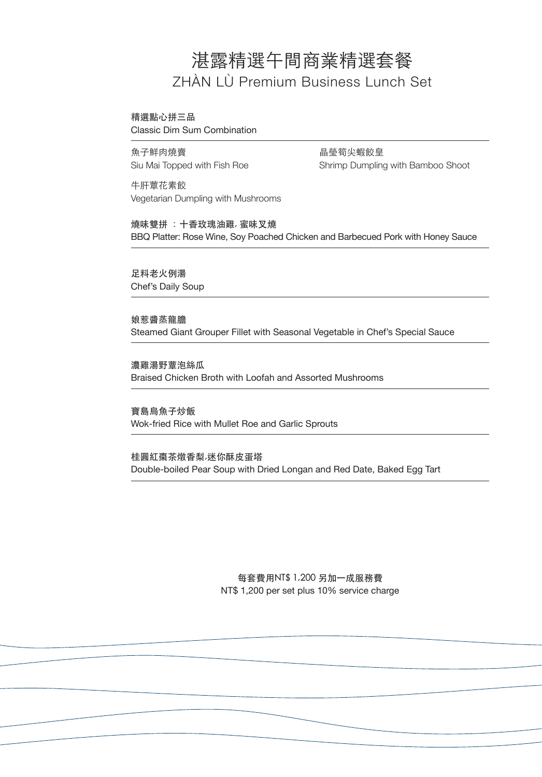### 湛露精選午間商業精選套餐 ZHÀN LÙ Premium Business Lunch Set

#### 精選點心拼三品 Classic Dim Sum Combination

魚子鮮肉燒賣 Siu Mai Topped with Fish Roe 晶瑩筍尖蝦餃皇 Shrimp Dumpling with Bamboo Shoot

牛肝蕈花素餃 Vegetarian Dumpling with Mushrooms

燒味雙拼 :十香玫瑰油雞, 蜜味叉燒 BBQ Platter: Rose Wine, Soy Poached Chicken and Barbecued Pork with Honey Sauce

足料老火例湯 Chef's Daily Soup

娘惹醬蒸龍膽 Steamed Giant Grouper Fillet with Seasonal Vegetable in Chef's Special Sauce

濃雞湯野蕈泡絲瓜 Braised Chicken Broth with Loofah and Assorted Mushrooms

寶島烏魚子炒飯 Wok-fried Rice with Mullet Roe and Garlic Sprouts

桂圓紅棗茶燉香梨,迷你酥皮蛋塔 Double-boiled Pear Soup with Dried Longan and Red Date, Baked Egg Tart

> 每套費用NT\$ 1,200 另加一成服務費 NT\$ 1,200 per set plus 10% service charge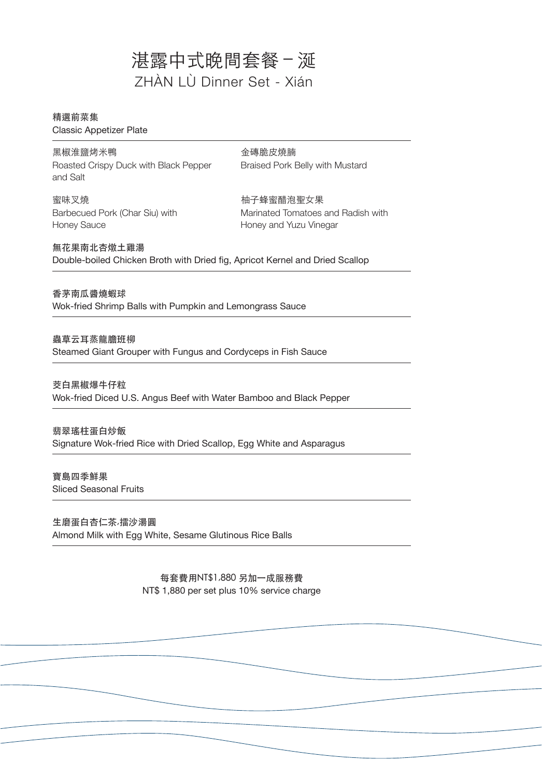### 湛露中式晚間套餐 – 涎 ZHÀN LÙ Dinner Set - Xián

### 精選前菜集

Classic Appetizer Plate

黑椒淮鹽烤米鴨 Roasted Crispy Duck with Black Pepper and Salt

金磚脆皮燒腩 Braised Pork Belly with Mustard

蜜味叉燒 Barbecued Pork (Char Siu) with Honey Sauce

柚子蜂蜜醋泡聖女果 Marinated Tomatoes and Radish with Honey and Yuzu Vinegar

無花果南北杏燉土雞湯 Double-boiled Chicken Broth with Dried fig, Apricot Kernel and Dried Scallop

香茅南瓜醬燒蝦球

Wok-fried Shrimp Balls with Pumpkin and Lemongrass Sauce

蟲草云耳蒸龍膽班柳

Steamed Giant Grouper with Fungus and Cordyceps in Fish Sauce

茭白黑椒爆牛仔粒 Wok-fried Diced U.S. Angus Beef with Water Bamboo and Black Pepper

翡翠瑤柱蛋白炒飯 Signature Wok-fried Rice with Dried Scallop, Egg White and Asparagus

寶島四季鮮果 Sliced Seasonal Fruits

生磨蛋白杏仁茶,擂沙湯圓 Almond Milk with Egg White, Sesame Glutinous Rice Balls

> 每套費用NT\$1,880 另加一成服務費 NT\$ 1,880 per set plus 10% service charge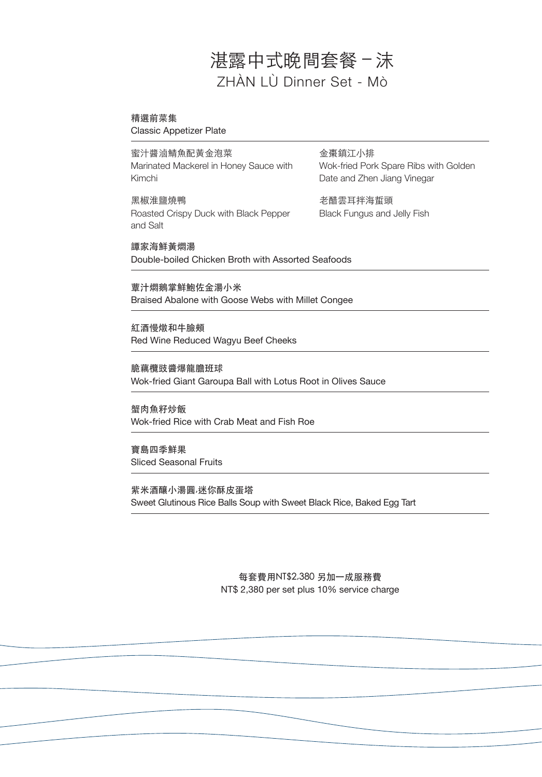### 湛露中式晚間套餐 – 沫 ZHÀN LÙ Dinner Set - Mò

#### 精選前菜集 Classic Appetizer Plate

蜜汁醬滷鯖魚配黃金泡菜 Marinated Mackerel in Honey Sauce with Kimchi

黑椒淮鹽燒鴨 Roasted Crispy Duck with Black Pepper and Salt

金棗鎮江小排 Wok-fried Pork Spare Ribs with Golden Date and Zhen Jiang Vinegar

老醋雲耳拌海蜇頭 Black Fungus and Jelly Fish

譚家海鮮黃燜湯 Double-boiled Chicken Broth with Assorted Seafoods

蕈汁燜鵝掌鮮鮑佐金湯小米 Braised Abalone with Goose Webs with Millet Congee

紅酒慢燉和牛臉頰 Red Wine Reduced Wagyu Beef Cheeks

脆藕欖豉醬爆龍膽班球 Wok-fried Giant Garoupa Ball with Lotus Root in Olives Sauce

蟹肉魚籽炒飯 Wok-fried Rice with Crab Meat and Fish Roe

寶島四季鮮果 Sliced Seasonal Fruits

紫米酒釀小湯圓,迷你酥皮蛋塔 Sweet Glutinous Rice Balls Soup with Sweet Black Rice, Baked Egg Tart

> 每套費用NT\$2,380 另加一成服務費 NT\$ 2,380 per set plus 10% service charge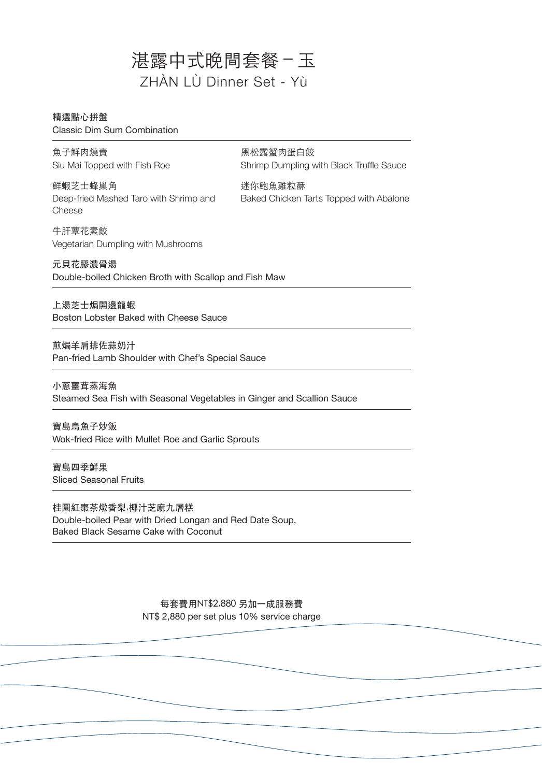### 湛露中式晚間套餐 – 玉 ZHÀN LÙ Dinner Set - Yù

#### 精選點心拼盤

Classic Dim Sum Combination

魚子鮮肉燒賣 Siu Mai Topped with Fish Roe

鮮蝦芝士蜂巢角 Deep-fried Mashed Taro with Shrimp and Cheese

牛肝蕈花素餃 Vegetarian Dumpling with Mushrooms

元貝花膠濃骨湯 Double-boiled Chicken Broth with Scallop and Fish Maw

上湯芝士焗開邊龍蝦 Boston Lobster Baked with Cheese Sauce

#### 煎焗羊肩排佐蒜奶汁

Pan-fried Lamb Shoulder with Chef's Special Sauce

小蔥薑茸蒸海魚

Steamed Sea Fish with Seasonal Vegetables in Ginger and Scallion Sauce

寶島烏魚子炒飯 Wok-fried Rice with Mullet Roe and Garlic Sprouts

寶島四季鮮果 Sliced Seasonal Fruits

桂圓紅棗茶燉香梨,椰汁芝麻九層糕 Double-boiled Pear with Dried Longan and Red Date Soup, Baked Black Sesame Cake with Coconut

> 每套費用NT\$2,880 另加一成服務費 NT\$ 2,880 per set plus 10% service charge

黑松露蟹肉蛋白餃 Shrimp Dumpling with Black Truffle Sauce

迷你鮑魚雞粒酥 Baked Chicken Tarts Topped with Abalone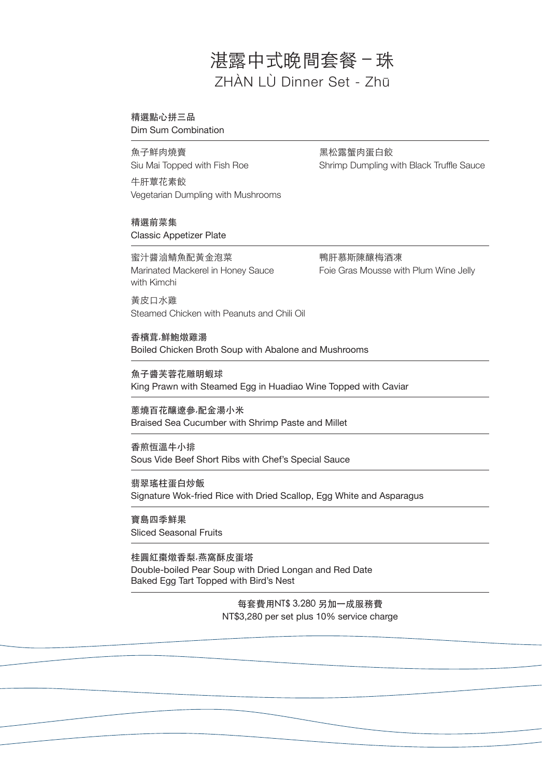### 湛露中式晚間套餐 – 珠 ZHÀN LÙ Dinner Set - Zhū

#### 精選點心拼三品 Dim Sum Combination

魚子鮮肉燒賣 Siu Mai Topped with Fish Roe

牛肝蕈花素餃 Vegetarian Dumpling with Mushrooms

黑松露蟹肉蛋白餃 Shrimp Dumpling with Black Truffle Sauce

精選前菜集 Classic Appetizer Plate

蜜汁醬滷鯖魚配黃金泡菜 Marinated Mackerel in Honey Sauce with Kimchi

鴨肝慕斯陳釀梅酒凍 Foie Gras Mousse with Plum Wine Jelly

黃皮口水雞 Steamed Chicken with Peanuts and Chili Oil

香檳茸,鮮鮑燉雞湯 Boiled Chicken Broth Soup with Abalone and Mushrooms

魚子醬芙蓉花雕明蝦球 King Prawn with Steamed Egg in Huadiao Wine Topped with Caviar

蔥燒百花釀遼參,配金湯小米 Braised Sea Cucumber with Shrimp Paste and Millet

香煎恆溫牛小排 Sous Vide Beef Short Ribs with Chef's Special Sauce

翡翠瑤柱蛋白炒飯 Signature Wok-fried Rice with Dried Scallop, Egg White and Asparagus

寶島四季鮮果 Sliced Seasonal Fruits

桂圓紅棗燉香梨,燕窩酥皮蛋塔

Double-boiled Pear Soup with Dried Longan and Red Date Baked Egg Tart Topped with Bird's Nest

> 每套費用NT\$ 3,280 另加一成服務費 NT\$3,280 per set plus 10% service charge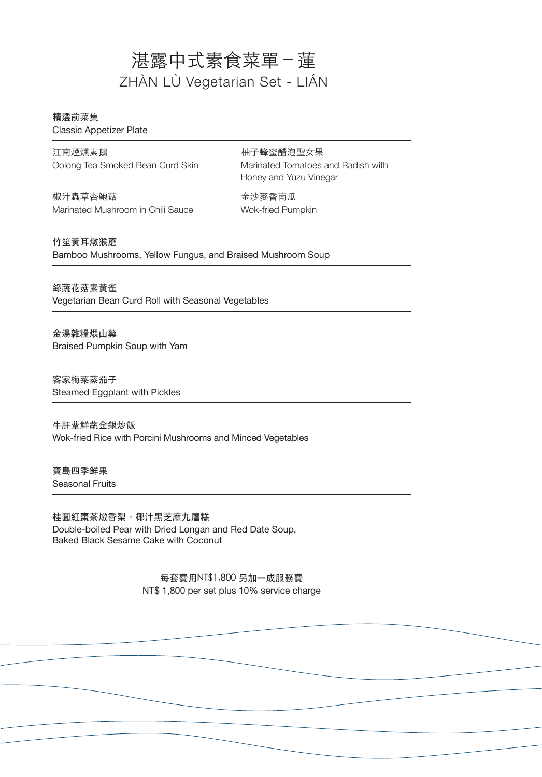### 湛露中式素食菜單 – 蓮 ZHÀN LÙ Vegetarian Set - LIÁN

#### 精選前菜集

Classic Appetizer Plate

江南煙燻素鵝 Oolong Tea Smoked Bean Curd Skin

椒汁蟲草杏鮑菇 Marinated Mushroom in Chili Sauce

柚子蜂蜜醋泡聖女果 Marinated Tomatoes and Radish with Honey and Yuzu Vinegar

金沙麥香南瓜 Wok-fried Pumpkin

竹笙黃耳燉猴蘑 Bamboo Mushrooms, Yellow Fungus, and Braised Mushroom Soup

綠蔬花菇素黃雀 Vegetarian Bean Curd Roll with Seasonal Vegetables

金湯雜糧煨山藥 Braised Pumpkin Soup with Yam

客家梅菜蒸茄子 Steamed Eggplant with Pickles

牛肝蕈鮮蔬金銀炒飯 Wok-fried Rice with Porcini Mushrooms and Minced Vegetables

寶島四季鮮果 Seasonal Fruits

桂圓紅棗茶燉香梨,椰汁黑芝麻九層糕 Double-boiled Pear with Dried Longan and Red Date Soup, Baked Black Sesame Cake with Coconut

> 每套費用NT\$1,800 另加一成服務費 NT\$ 1,800 per set plus 10% service charge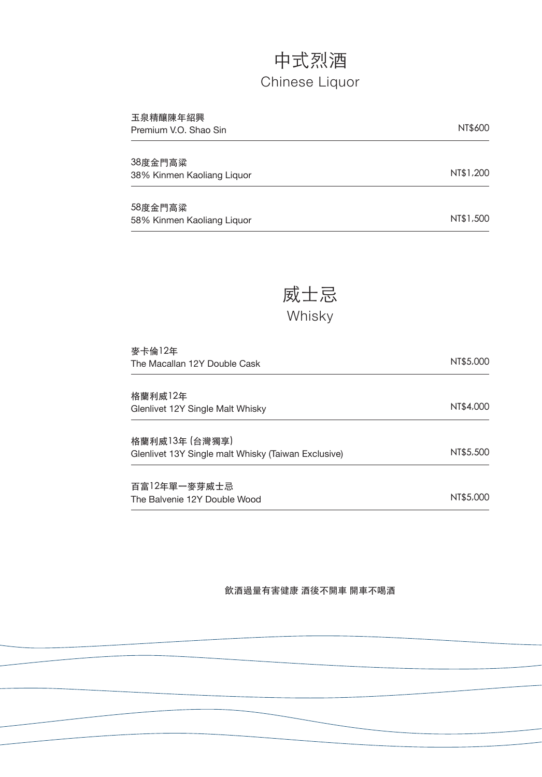# 中式烈酒 Chinese Liquor

| 玉泉精釀陳年紹興<br>Premium V.O. Shao Sin     | NT\$600   |
|---------------------------------------|-----------|
| 38度金門高粱<br>38% Kinmen Kaoliang Liquor | NT\$1,200 |
| 58度金門高粱<br>58% Kinmen Kaoliang Liquor | NT\$1,500 |



| 麥卡倫12年                                              |           |
|-----------------------------------------------------|-----------|
| The Macallan 12Y Double Cask                        | NT\$5,000 |
| 格蘭利威12年                                             |           |
| Glenlivet 12Y Single Malt Whisky                    | NT\$4,000 |
| 格蘭利威13年 (台灣獨享)                                      |           |
| Glenlivet 13Y Single malt Whisky (Taiwan Exclusive) | NT\$5,500 |
| 百富12年單一麥芽威士忌                                        |           |
| The Balvenie 12Y Double Wood                        | NT\$5,000 |

飲酒過量有害健康 酒後不開車 開車不喝酒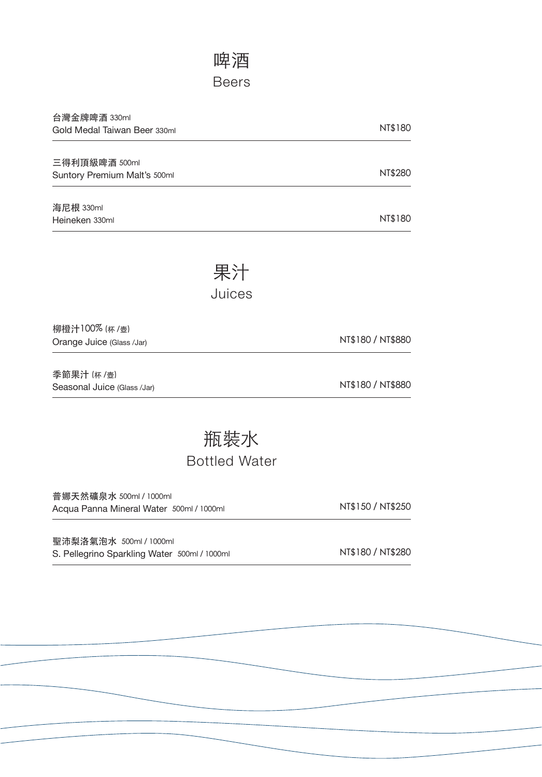### 啤酒 Beers

| 台灣金牌啤酒 330ml                 |         |
|------------------------------|---------|
| Gold Medal Taiwan Beer 330ml | NT\$180 |
| 三得利頂級啤酒 500ml                |         |
| Suntory Premium Malt's 500ml | NT\$280 |
| 海尼根 330ml                    |         |
| Heineken 330ml               | NT\$180 |

果汁

Juices

柳橙汁100% (杯 /壺) Orange Juice (Glass /Jar) NT\$180 / NT\$880

季節果汁 (杯 /壺) Seasonal Juice (Glass /Jar) NT\$180 / NT\$880

# 瓶裝水

### Bottled Water

普娜天然礦泉水 500ml / 1000ml Acqua Panna Mineral Water 500ml / 1000ml discussed and NT\$150 / NT\$250

聖沛梨洛氣泡水 500ml / 1000ml S. Pellegrino Sparkling Water 500ml / 1000ml NT\$180 / NT\$180 / NT\$280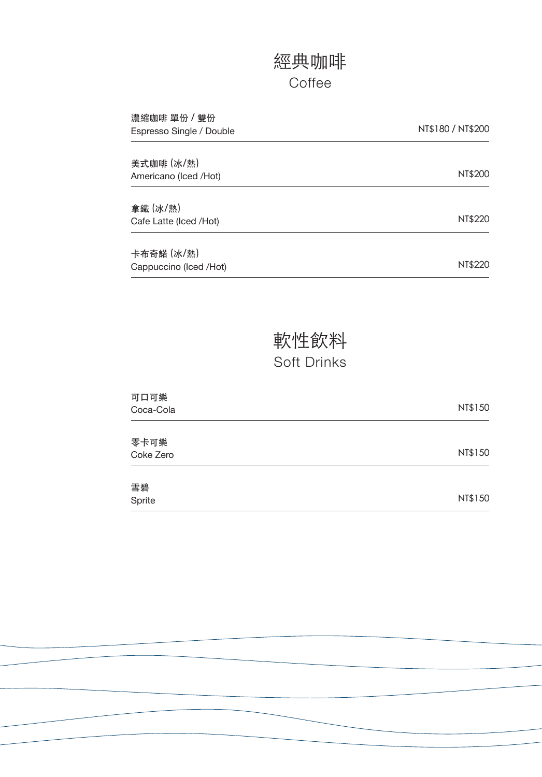## 經典咖啡 Coffee

| NT\$180 / NT\$200 |
|-------------------|
|                   |
| NT\$200           |
|                   |
| NT\$220           |
| NT\$220           |
|                   |

軟性飲料 Soft Drinks

| 可口可樂<br>Coca-Cola | NT\$150 |
|-------------------|---------|
| 零卡可樂<br>Coke Zero | NT\$150 |
| 雪碧<br>Sprite      | NT\$150 |